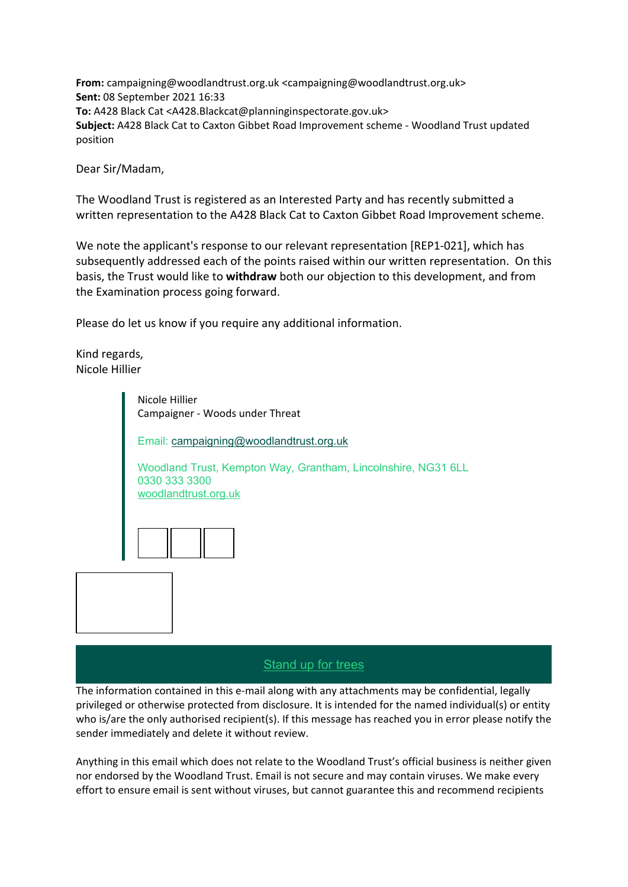**From:** campaigning@woodlandtrust.org.uk <campaigning@woodlandtrust.org.uk> **Sent:** 08 September 2021 16:33 **To:** A428 Black Cat <A428.Blackcat@planninginspectorate.gov.uk> **Subject:** A428 Black Cat to Caxton Gibbet Road Improvement scheme - Woodland Trust updated position

Dear Sir/Madam,

The Woodland Trust is registered as an Interested Party and has recently submitted a written representation to the A428 Black Cat to Caxton Gibbet Road Improvement scheme.

We note the applicant's response to our relevant representation [REP1-021], which has subsequently addressed each of the points raised within our written representation. On this basis, the Trust would like to **withdraw** both our objection to this development, and from the Examination process going forward.

Please do let us know if you require any additional information.

Kind regards, Nicole Hillier

> Nicole Hillier Campaigner - Woods under Threat Email: [campaigning@woodlandtrust.org.uk](mailto:campaigning@woodlandtrust.org.uk) Woodland Trust, Kempton Way, Grantham, Lincolnshire, NG31 6LL 0330 333 3300 [woodlandtrust.org.uk](https://gbr01.safelinks.protection.outlook.com/?url=http%3A%2F%2Fwww.woodlandtrust.org.uk%2F%3Futm_source%3Dwoodlandtrust-email-signature%26utm_medium%3Demail&data=04%7C01%7Ca428.blackcat%40planninginspectorate.gov.uk%7Cde61f7c1a81341e954e608d972ddff03%7C5878df986f8848ab9322998ce557088d%7C0%7C0%7C637667120052896652%7CUnknown%7CTWFpbGZsb3d8eyJWIjoiMC4wLjAwMDAiLCJQIjoiV2luMzIiLCJBTiI6Ik1haWwiLCJXVCI6Mn0%3D%7C1000&sdata=JItFXqy%2BVtuCHzCg%2Fu5k95fPGkm184LcyMX%2FGWRYNh0%3D&reserved=0)

> > [Stand up for trees](https://gbr01.safelinks.protection.outlook.com/?url=http%3A%2F%2Fwww.woodlandtrust.org.uk%2F%3Futm_source%3Dwoodlandtrust-email-signature%26utm_medium%3Demail&data=04%7C01%7Ca428.blackcat%40planninginspectorate.gov.uk%7Cde61f7c1a81341e954e608d972ddff03%7C5878df986f8848ab9322998ce557088d%7C0%7C0%7C637667120052916637%7CUnknown%7CTWFpbGZsb3d8eyJWIjoiMC4wLjAwMDAiLCJQIjoiV2luMzIiLCJBTiI6Ik1haWwiLCJXVCI6Mn0%3D%7C1000&sdata=Yuqb6xCLEfYShx7CCmz9DHMN292O1g%2FEAw%2BZpKQh9ZM%3D&reserved=0)

The information contained in this e-mail along with any attachments may be confidential, legally privileged or otherwise protected from disclosure. It is intended for the named individual(s) or entity who is/are the only authorised recipient(s). If this message has reached you in error please notify the sender immediately and delete it without review.

Anything in this email which does not relate to the Woodland Trust's official business is neither given nor endorsed by the Woodland Trust. Email is not secure and may contain viruses. We make every effort to ensure email is sent without viruses, but cannot guarantee this and recommend recipients